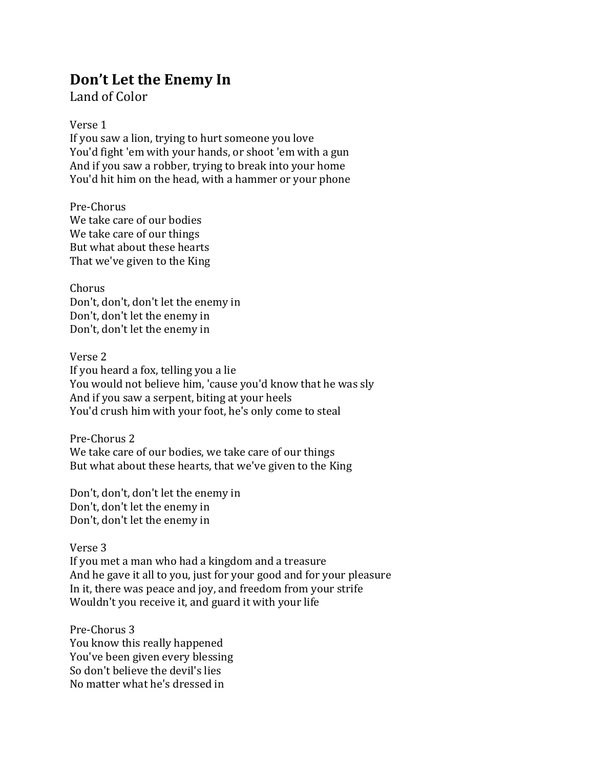## Don't Let the Enemy In

Land of Color

## Verse 1

If you saw a lion, trying to hurt someone you love You'd fight 'em with your hands, or shoot 'em with a gun And if you saw a robber, trying to break into your home You'd hit him on the head, with a hammer or your phone

Pre-Chorus We take care of our bodies We take care of our things But what about these hearts That we've given to the King

Chorus Don't, don't, don't let the enemy in Don't, don't let the enemy in Don't, don't let the enemy in

Verse 2 If you heard a fox, telling you a lie You would not believe him, 'cause you'd know that he was sly And if you saw a serpent, biting at your heels You'd crush him with your foot, he's only come to steal

Pre-Chorus 2 We take care of our bodies, we take care of our things But what about these hearts, that we've given to the King

Don't, don't, don't let the enemy in Don't, don't let the enemy in Don't, don't let the enemy in

## Verse 3

If you met a man who had a kingdom and a treasure And he gave it all to you, just for your good and for your pleasure In it, there was peace and joy, and freedom from your strife Wouldn't you receive it, and guard it with your life

Pre-Chorus 3 You know this really happened You've been given every blessing So don't believe the devil's lies No matter what he's dressed in